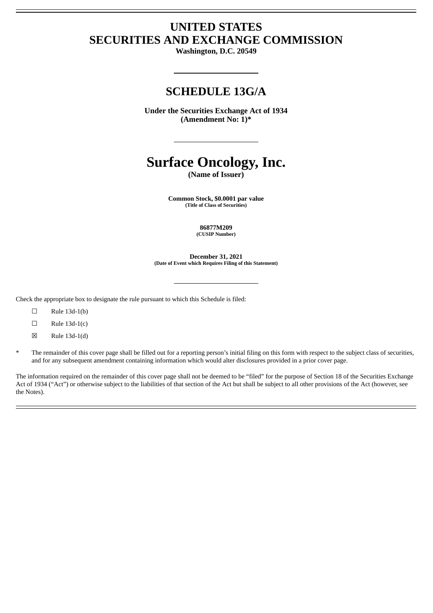# **UNITED STATES SECURITIES AND EXCHANGE COMMISSION**

**Washington, D.C. 20549**

# **SCHEDULE 13G/A**

**Under the Securities Exchange Act of 1934 (Amendment No: 1)\***

# **Surface Oncology, Inc.**

**(Name of Issuer)**

**Common Stock, \$0.0001 par value (Title of Class of Securities)**

> **86877M209 (CUSIP Number)**

**December 31, 2021 (Date of Event which Requires Filing of this Statement)**

Check the appropriate box to designate the rule pursuant to which this Schedule is filed:

- $\square$  Rule 13d-1(b)
- $\Box$  Rule 13d-1(c)
- $\boxtimes$  Rule 13d-1(d)
- The remainder of this cover page shall be filled out for a reporting person's initial filing on this form with respect to the subject class of securities, and for any subsequent amendment containing information which would alter disclosures provided in a prior cover page.

The information required on the remainder of this cover page shall not be deemed to be "filed" for the purpose of Section 18 of the Securities Exchange Act of 1934 ("Act") or otherwise subject to the liabilities of that section of the Act but shall be subject to all other provisions of the Act (however, see the Notes).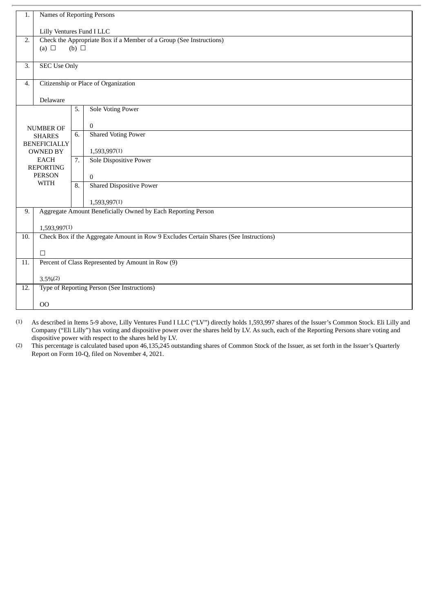| 1.                                                                        | Names of Reporting Persons                                                            |            |                                                              |  |  |  |
|---------------------------------------------------------------------------|---------------------------------------------------------------------------------------|------------|--------------------------------------------------------------|--|--|--|
|                                                                           | Lilly Ventures Fund I LLC                                                             |            |                                                              |  |  |  |
| Check the Appropriate Box if a Member of a Group (See Instructions)<br>2. |                                                                                       |            |                                                              |  |  |  |
|                                                                           | (a) $\Box$                                                                            | (b) $\Box$ |                                                              |  |  |  |
| $\overline{3}$ .                                                          | <b>SEC Use Only</b>                                                                   |            |                                                              |  |  |  |
|                                                                           |                                                                                       |            |                                                              |  |  |  |
|                                                                           | Citizenship or Place of Organization<br>$\overline{4}$ .                              |            |                                                              |  |  |  |
|                                                                           | Delaware                                                                              |            |                                                              |  |  |  |
|                                                                           |                                                                                       | 5.         | <b>Sole Voting Power</b>                                     |  |  |  |
|                                                                           | <b>NUMBER OF</b>                                                                      |            | $\boldsymbol{0}$                                             |  |  |  |
|                                                                           | <b>SHARES</b>                                                                         | 6.         | <b>Shared Voting Power</b>                                   |  |  |  |
|                                                                           | <b>BENEFICIALLY</b>                                                                   |            | 1,593,997(1)                                                 |  |  |  |
|                                                                           | <b>OWNED BY</b><br><b>EACH</b>                                                        |            | <b>Sole Dispositive Power</b>                                |  |  |  |
|                                                                           | <b>REPORTING</b>                                                                      |            |                                                              |  |  |  |
| <b>PERSON</b><br>WITH                                                     |                                                                                       | 8.         | $\overline{0}$<br><b>Shared Dispositive Power</b>            |  |  |  |
|                                                                           |                                                                                       |            |                                                              |  |  |  |
|                                                                           |                                                                                       |            | 1,593,997(1)                                                 |  |  |  |
| 9.                                                                        |                                                                                       |            | Aggregate Amount Beneficially Owned by Each Reporting Person |  |  |  |
|                                                                           | 1,593,997(1)                                                                          |            |                                                              |  |  |  |
| 10.                                                                       | Check Box if the Aggregate Amount in Row 9 Excludes Certain Shares (See Instructions) |            |                                                              |  |  |  |
|                                                                           | $\Box$                                                                                |            |                                                              |  |  |  |
| 11.                                                                       | Percent of Class Represented by Amount in Row (9)                                     |            |                                                              |  |  |  |
|                                                                           | $3.5\%(2)$                                                                            |            |                                                              |  |  |  |
| 12.                                                                       | Type of Reporting Person (See Instructions)                                           |            |                                                              |  |  |  |
|                                                                           |                                                                                       |            |                                                              |  |  |  |
|                                                                           | 00                                                                                    |            |                                                              |  |  |  |

(1) As described in Items 5-9 above, Lilly Ventures Fund I LLC ("LV") directly holds 1,593,997 shares of the Issuer's Common Stock. Eli Lilly and Company ("Eli Lilly") has voting and dispositive power over the shares held by LV. As such, each of the Reporting Persons share voting and dispositive power with respect to the shares held by LV.

(2) This percentage is calculated based upon 46,135,245 outstanding shares of Common Stock of the Issuer, as set forth in the Issuer's Quarterly Report on Form 10-Q, filed on November 4, 2021.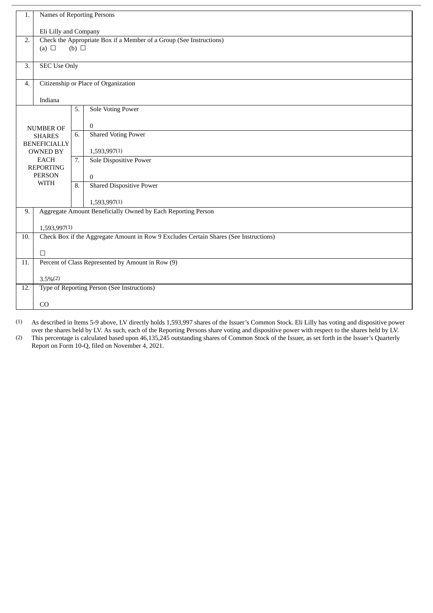| 1.               | Names of Reporting Persons                        |                                                                     |                                                                                       |  |  |  |
|------------------|---------------------------------------------------|---------------------------------------------------------------------|---------------------------------------------------------------------------------------|--|--|--|
|                  | Eli Lilly and Company                             |                                                                     |                                                                                       |  |  |  |
| 2.               | (a) $\Box$                                        | Check the Appropriate Box if a Member of a Group (See Instructions) |                                                                                       |  |  |  |
|                  |                                                   | (b) $\Box$                                                          |                                                                                       |  |  |  |
| $\overline{3}$ . | <b>SEC Use Only</b>                               |                                                                     |                                                                                       |  |  |  |
| 4.               | Citizenship or Place of Organization              |                                                                     |                                                                                       |  |  |  |
|                  | Indiana                                           |                                                                     |                                                                                       |  |  |  |
|                  |                                                   | 5.                                                                  | <b>Sole Voting Power</b>                                                              |  |  |  |
| <b>NUMBER OF</b> |                                                   |                                                                     | $\boldsymbol{0}$                                                                      |  |  |  |
|                  | <b>SHARES</b><br><b>BENEFICIALLY</b>              |                                                                     | <b>Shared Voting Power</b>                                                            |  |  |  |
|                  | <b>OWNED BY</b>                                   | 7.                                                                  | 1,593,997(1)                                                                          |  |  |  |
|                  | <b>EACH</b><br><b>REPORTING</b>                   |                                                                     | <b>Sole Dispositive Power</b>                                                         |  |  |  |
|                  | <b>PERSON</b>                                     |                                                                     | $\mathbf{0}$                                                                          |  |  |  |
| <b>WITH</b>      |                                                   | 8.                                                                  | <b>Shared Dispositive Power</b>                                                       |  |  |  |
|                  |                                                   |                                                                     | 1,593,997(1)                                                                          |  |  |  |
| 9.               |                                                   |                                                                     | Aggregate Amount Beneficially Owned by Each Reporting Person                          |  |  |  |
|                  | 1,593,997(1)                                      |                                                                     |                                                                                       |  |  |  |
| 10.              |                                                   |                                                                     | Check Box if the Aggregate Amount in Row 9 Excludes Certain Shares (See Instructions) |  |  |  |
|                  | $\Box$                                            |                                                                     |                                                                                       |  |  |  |
| 11.              | Percent of Class Represented by Amount in Row (9) |                                                                     |                                                                                       |  |  |  |
|                  | $3.5\%(2)$                                        |                                                                     |                                                                                       |  |  |  |
| 12.              | Type of Reporting Person (See Instructions)       |                                                                     |                                                                                       |  |  |  |
|                  | CO                                                |                                                                     |                                                                                       |  |  |  |

(1) As described in Items 5-9 above, LV directly holds 1,593,997 shares of the Issuer's Common Stock. Eli Lilly has voting and dispositive power over the shares held by LV. As such, each of the Reporting Persons share voting and dispositive power with respect to the shares held by LV.

(2) This percentage is calculated based upon 46,135,245 outstanding shares of Common Stock of the Issuer, as set forth in the Issuer's Quarterly Report on Form 10-Q, filed on November 4, 2021.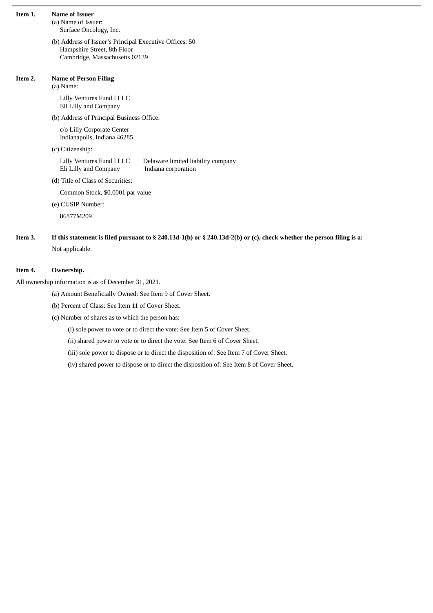| Item 1. | <b>Name of Issuer</b><br>(a) Name of Issuer:<br>Surface Oncology, Inc.                                                      |  |  |  |  |  |  |
|---------|-----------------------------------------------------------------------------------------------------------------------------|--|--|--|--|--|--|
|         | (b) Address of Issuer's Principal Executive Offices: 50<br>Hampshire Street, 8th Floor<br>Cambridge, Massachusetts 02139    |  |  |  |  |  |  |
| Item 2. | <b>Name of Person Filing</b><br>(a) Name:                                                                                   |  |  |  |  |  |  |
|         | Lilly Ventures Fund I LLC<br>Eli Lilly and Company                                                                          |  |  |  |  |  |  |
|         | (b) Address of Principal Business Office:                                                                                   |  |  |  |  |  |  |
|         | c/o Lilly Corporate Center<br>Indianapolis, Indiana 46285                                                                   |  |  |  |  |  |  |
|         | (c) Citizenship:                                                                                                            |  |  |  |  |  |  |
|         | Lilly Ventures Fund I LLC<br>Delaware limited liability company<br>Eli Lilly and Company<br>Indiana corporation             |  |  |  |  |  |  |
|         | (d) Title of Class of Securities:                                                                                           |  |  |  |  |  |  |
|         | Common Stock, \$0.0001 par value                                                                                            |  |  |  |  |  |  |
|         | (e) CUSIP Number:                                                                                                           |  |  |  |  |  |  |
|         | 86877M209                                                                                                                   |  |  |  |  |  |  |
| Item 3. | If this statement is filed pursuant to $\S 240.13d-1(b)$ or $\S 240.13d-2(b)$ or (c), check whether the person filing is a: |  |  |  |  |  |  |

Not applicable.

# **Item 4. Ownership.**

All ownership information is as of December 31, 2021.

(a) Amount Beneficially Owned: See Item 9 of Cover Sheet.

(b) Percent of Class: See Item 11 of Cover Sheet.

(c) Number of shares as to which the person has:

(i) sole power to vote or to direct the vote: See Item 5 of Cover Sheet.

(ii) shared power to vote or to direct the vote: See Item 6 of Cover Sheet.

(iii) sole power to dispose or to direct the disposition of: See Item 7 of Cover Sheet.

(iv) shared power to dispose or to direct the disposition of: See Item 8 of Cover Sheet.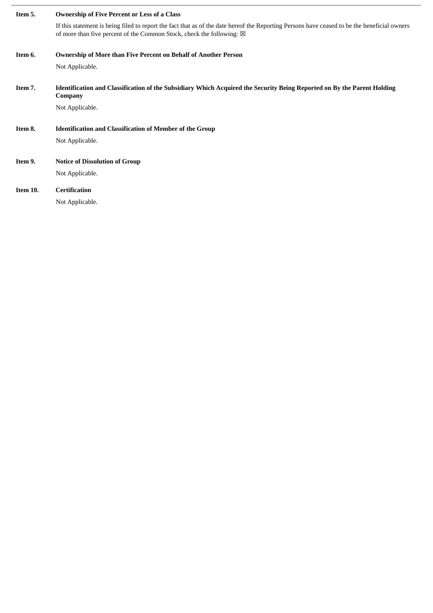| Item 5.  | <b>Ownership of Five Percent or Less of a Class</b>                                                                                                                                                                             |  |  |  |  |  |
|----------|---------------------------------------------------------------------------------------------------------------------------------------------------------------------------------------------------------------------------------|--|--|--|--|--|
|          | If this statement is being filed to report the fact that as of the date hereof the Reporting Persons have ceased to be the beneficial owners<br>of more than five percent of the Common Stock, check the following: $\boxtimes$ |  |  |  |  |  |
| Item 6.  | <b>Ownership of More than Five Percent on Behalf of Another Person</b>                                                                                                                                                          |  |  |  |  |  |
|          | Not Applicable.                                                                                                                                                                                                                 |  |  |  |  |  |
| Item 7.  | Identification and Classification of the Subsidiary Which Acquired the Security Being Reported on By the Parent Holding<br>Company                                                                                              |  |  |  |  |  |
|          | Not Applicable.                                                                                                                                                                                                                 |  |  |  |  |  |
| Item 8.  | <b>Identification and Classification of Member of the Group</b>                                                                                                                                                                 |  |  |  |  |  |
|          | Not Applicable.                                                                                                                                                                                                                 |  |  |  |  |  |
| Item 9.  | <b>Notice of Dissolution of Group</b>                                                                                                                                                                                           |  |  |  |  |  |
|          | Not Applicable.                                                                                                                                                                                                                 |  |  |  |  |  |
| Item 10. | <b>Certification</b>                                                                                                                                                                                                            |  |  |  |  |  |
|          | Not Applicable.                                                                                                                                                                                                                 |  |  |  |  |  |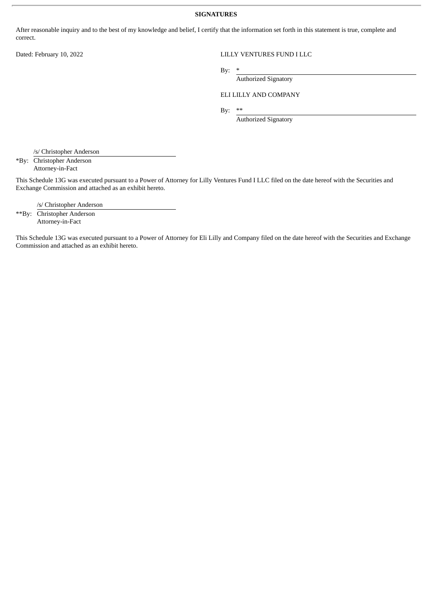#### **SIGNATURES**

After reasonable inquiry and to the best of my knowledge and belief, I certify that the information set forth in this statement is true, complete and correct.

# Dated: February 10, 2022 LILLY VENTURES FUND I LLC

By:  $*$ 

Authorized Signatory

# ELI LILLY AND COMPANY

By:  $**$ 

Authorized Signatory

/s/ Christopher Anderson

\*By: Christopher Anderson Attorney-in-Fact

This Schedule 13G was executed pursuant to a Power of Attorney for Lilly Ventures Fund I LLC filed on the date hereof with the Securities and Exchange Commission and attached as an exhibit hereto.

/s/ Christopher Anderson

\*\*By: Christopher Anderson Attorney-in-Fact

This Schedule 13G was executed pursuant to a Power of Attorney for Eli Lilly and Company filed on the date hereof with the Securities and Exchange Commission and attached as an exhibit hereto.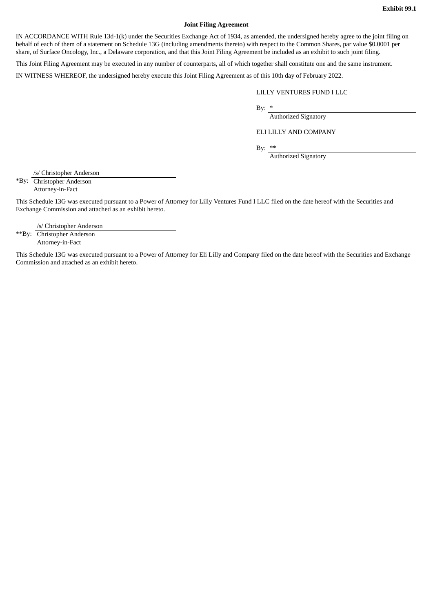#### **Joint Filing Agreement**

IN ACCORDANCE WITH Rule 13d-1(k) under the Securities Exchange Act of 1934, as amended, the undersigned hereby agree to the joint filing on behalf of each of them of a statement on Schedule 13G (including amendments thereto) with respect to the Common Shares, par value \$0.0001 per share, of Surface Oncology, Inc., a Delaware corporation, and that this Joint Filing Agreement be included as an exhibit to such joint filing.

This Joint Filing Agreement may be executed in any number of counterparts, all of which together shall constitute one and the same instrument.

IN WITNESS WHEREOF, the undersigned hereby execute this Joint Filing Agreement as of this 10th day of February 2022.

### LILLY VENTURES FUND I LLC

By:  $*$ 

Authorized Signatory

ELI LILLY AND COMPANY

By: \*\*

Authorized Signatory

/s/ Christopher Anderson

\*By: Christopher Anderson Attorney-in-Fact

This Schedule 13G was executed pursuant to a Power of Attorney for Lilly Ventures Fund I LLC filed on the date hereof with the Securities and Exchange Commission and attached as an exhibit hereto.

/s/ Christopher Anderson

\*\*By: Christopher Anderson Attorney-in-Fact

This Schedule 13G was executed pursuant to a Power of Attorney for Eli Lilly and Company filed on the date hereof with the Securities and Exchange Commission and attached as an exhibit hereto.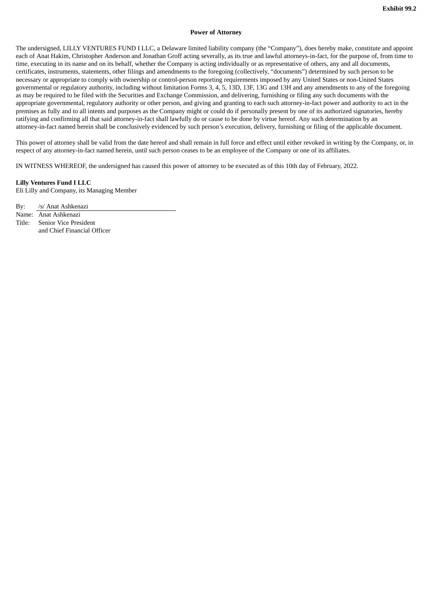#### **Power of Attorney**

The undersigned, LILLY VENTURES FUND I LLC, a Delaware limited liability company (the "Company"), does hereby make, constitute and appoint each of Anat Hakim, Christopher Anderson and Jonathan Groff acting severally, as its true and lawful attorneys-in-fact, for the purpose of, from time to time, executing in its name and on its behalf, whether the Company is acting individually or as representative of others, any and all documents, certificates, instruments, statements, other filings and amendments to the foregoing (collectively, "documents") determined by such person to be necessary or appropriate to comply with ownership or control-person reporting requirements imposed by any United States or non-United States governmental or regulatory authority, including without limitation Forms 3, 4, 5, 13D, 13F, 13G and 13H and any amendments to any of the foregoing as may be required to be filed with the Securities and Exchange Commission, and delivering, furnishing or filing any such documents with the appropriate governmental, regulatory authority or other person, and giving and granting to each such attorney-in-fact power and authority to act in the premises as fully and to all intents and purposes as the Company might or could do if personally present by one of its authorized signatories, hereby ratifying and confirming all that said attorney-in-fact shall lawfully do or cause to be done by virtue hereof. Any such determination by an attorney-in-fact named herein shall be conclusively evidenced by such person's execution, delivery, furnishing or filing of the applicable document.

This power of attorney shall be valid from the date hereof and shall remain in full force and effect until either revoked in writing by the Company, or, in respect of any attorney-in-fact named herein, until such person ceases to be an employee of the Company or one of its affiliates.

IN WITNESS WHEREOF, the undersigned has caused this power of attorney to be executed as of this 10th day of February, 2022.

#### **Lilly Ventures Fund I LLC**

Eli Lilly and Company, its Managing Member

By: /s/ Anat Ashkenazi

Name: Anat Ashkenazi

Title: Senior Vice President and Chief Financial Officer